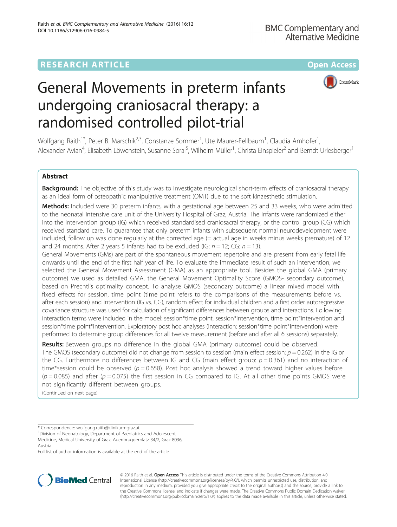# **RESEARCH ARTICLE Example 2014 12:30 The Community Community Community Community Community Community Community**



# General Movements in preterm infants undergoing craniosacral therapy: a randomised controlled pilot-trial

Wolfgang Raith<sup>1\*</sup>, Peter B. Marschik<sup>2,3</sup>, Constanze Sommer<sup>1</sup>, Ute Maurer-Fellbaum<sup>1</sup>, Claudia Amhofer<sup>1</sup> , Alexander Avian<sup>4</sup>, Elisabeth Löwenstein, Susanne Soral<sup>5</sup>, Wilhelm Müller<sup>1</sup>, Christa Einspieler<sup>2</sup> and Berndt Urlesberger<sup>1</sup>

# Abstract

Background: The objective of this study was to investigate neurological short-term effects of craniosacral therapy as an ideal form of osteopathic manipulative treatment (OMT) due to the soft kinaesthetic stimulation.

Methods: Included were 30 preterm infants, with a gestational age between 25 and 33 weeks, who were admitted to the neonatal intensive care unit of the University Hospital of Graz, Austria. The infants were randomized either into the intervention group (IG) which received standardised craniosacral therapy, or the control group (CG) which received standard care. To guarantee that only preterm infants with subsequent normal neurodevelopment were included, follow up was done regularly at the corrected age (= actual age in weeks minus weeks premature) of 12 and 24 months. After 2 years 5 infants had to be excluded (IG;  $n = 12$ ; CG:  $n = 13$ ).

General Movements (GMs) are part of the spontaneous movement repertoire and are present from early fetal life onwards until the end of the first half year of life. To evaluate the immediate result of such an intervention, we selected the General Movement Assessment (GMA) as an appropriate tool. Besides the global GMA (primary outcome) we used as detailed GMA, the General Movement Optimality Score (GMOS- secondary outcome), based on Prechtl's optimality concept. To analyse GMOS (secondary outcome) a linear mixed model with fixed effects for session, time point (time point refers to the comparisons of the measurements before vs. after each session) and intervention (IG vs. CG), random effect for individual children and a first order autoregressive covariance structure was used for calculation of significant differences between groups and interactions. Following interaction terms were included in the model: session\*time point, session\*intervention, time point\*intervention and session\*time point\*intervention. Exploratory post hoc analyses (interaction: session\*time point\*intervention) were performed to determine group differences for all twelve measurement (before and after all 6 sessions) separately.

Results: Between groups no difference in the global GMA (primary outcome) could be observed. The GMOS (secondary outcome) did not change from session to session (main effect session:  $p = 0.262$ ) in the IG or the CG. Furthermore no differences between IG and CG (main effect group:  $p = 0.361$ ) and no interaction of time\*session could be observed ( $p = 0.658$ ). Post hoc analysis showed a trend toward higher values before  $(p = 0.085)$  and after  $(p = 0.075)$  the first session in CG compared to IG. At all other time points GMOS were not significantly different between groups.

(Continued on next page)



© 2016 Raith et al. Open Access This article is distributed under the terms of the Creative Commons Attribution 4.0 International License [\(http://creativecommons.org/licenses/by/4.0/](http://creativecommons.org/licenses/by/4.0/)), which permits unrestricted use, distribution, and reproduction in any medium, provided you give appropriate credit to the original author(s) and the source, provide a link to the Creative Commons license, and indicate if changes were made. The Creative Commons Public Domain Dedication waiver [\(http://creativecommons.org/publicdomain/zero/1.0/](http://creativecommons.org/publicdomain/zero/1.0/)) applies to the data made available in this article, unless otherwise stated.

<sup>\*</sup> Correspondence: [wolfgang.raith@klinikum-graz.at](mailto:wolfgang.raith@klinikum-graz.at) <sup>1</sup>

<sup>&</sup>lt;sup>1</sup> Division of Neonatology, Department of Paediatrics and Adolescent Medicine, Medical University of Graz, Auenbruggerplatz 34/2, Graz 8036,

Austria Full list of author information is available at the end of the article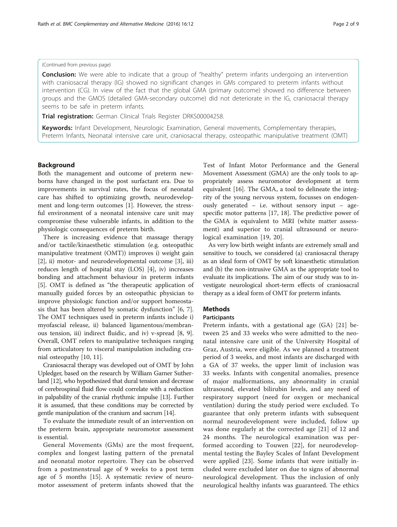## (Continued from previous page)

**Conclusion:** We were able to indicate that a group of "healthy" preterm infants undergoing an intervention with craniosacral therapy (IG) showed no significant changes in GMs compared to preterm infants without intervention (CG). In view of the fact that the global GMA (primary outcome) showed no difference between groups and the GMOS (detailed GMA-secondary outcome) did not deteriorate in the IG, craniosacral therapy seems to be safe in preterm infants.

Trial registration: German Clinical Trials Register [DRKS00004258.](http://www.drks.de/DRKS00004258)

Keywords: Infant Development, Neurologic Examination, General movements, Complementary therapies, Preterm Infants, Neonatal intensive care unit, craniosacral therapy, osteopathic manipulative treatment (OMT)

#### Background

Both the management and outcome of preterm newborns have changed in the post surfactant era. Due to improvements in survival rates, the focus of neonatal care has shifted to optimizing growth, neurodevelopment and long-term outcomes [[1\]](#page-7-0). However, the stressful environment of a neonatal intensive care unit may compromise these vulnerable infants, in addition to the physiologic consequences of preterm birth.

There is increasing evidence that massage therapy and/or tactile/kinaesthetic stimulation (e.g. osteopathic manipulative treatment (OMT)) improves i) weight gain [[2\]](#page-7-0), ii) motor- and neurodevelopmental outcome [[3\]](#page-7-0), iii) reduces length of hospital stay (LOS) [\[4](#page-7-0)], iv) increases bonding and attachment behaviour in preterm infants [[5\]](#page-7-0). OMT is defined as "the therapeutic application of manually guided forces by an osteopathic physician to improve physiologic function and/or support homeostasis that has been altered by somatic dysfunction" [\[6](#page-7-0), [7](#page-7-0)]. The OMT techniques used in preterm infants include i) myofascial release, ii) balanced ligamentous/membranous tension, iii) indirect fluidic, and iv) v-spread [\[8](#page-7-0), [9](#page-7-0)]. Overall, OMT refers to manipulative techniques ranging from articulatory to visceral manipulation including cranial osteopathy [[10, 11](#page-7-0)].

Craniosacral therapy was developed out of OMT by John Upledger, based on the research by William Garner Sutherland [\[12](#page-7-0)], who hypothesized that dural tension and decrease of cerebrospinal fluid flow could correlate with a reduction in palpability of the cranial rhythmic impulse [\[13\]](#page-7-0). Further it is assumed, that these conditions may be corrected by gentle manipulation of the cranium and sacrum [\[14](#page-7-0)].

To evaluate the immediate result of an intervention on the preterm brain, appropriate neuromotor assessment is essential.

General Movements (GMs) are the most frequent, complex and longest lasting pattern of the prenatal and neonatal motor repertoire. They can be observed from a postmenstrual age of 9 weeks to a post term age of 5 months [\[15](#page-7-0)]. A systematic review of neuromotor assessment of preterm infants showed that the Test of Infant Motor Performance and the General Movement Assessment (GMA) are the only tools to appropriately assess neuromotor development at term equivalent [[16\]](#page-7-0). The GMA, a tool to delineate the integrity of the young nervous system, focusses on endogenously generated – i.e. without sensory input – agespecific motor patterns [\[17,](#page-7-0) [18](#page-8-0)]. The predictive power of the GMA is equivalent to MRI (white matter assessment) and superior to cranial ultrasound or neurological examination [\[19](#page-8-0), [20](#page-8-0)].

As very low birth weight infants are extremely small and sensitive to touch, we considered (a) craniosacral therapy as an ideal form of OMT by soft kinaesthetic stimulation and (b) the non-intrusive GMA as the appropriate tool to evaluate its implications. The aim of our study was to investigate neurological short-term effects of craniosacral therapy as a ideal form of OMT for preterm infants.

# **Methods**

# Participants

Preterm infants, with a gestational age (GA) [\[21](#page-8-0)] between 25 and 33 weeks who were admitted to the neonatal intensive care unit of the University Hospital of Graz, Austria, were eligible. As we planned a treatment period of 3 weeks, and most infants are discharged with a GA of 37 weeks, the upper limit of inclusion was 33 weeks. Infants with congenital anomalies, presence of major malformations, any abnormality in cranial ultrasound, elevated bilirubin levels, and any need of respiratory support (need for oxygen or mechanical ventilation) during the study period were excluded. To guarantee that only preterm infants with subsequent normal neurodevelopment were included, follow up was done regularly at the corrected age [[21\]](#page-8-0) of 12 and 24 months. The neurological examination was performed according to Touwen [\[22](#page-8-0)], for neurodevelopmental testing the Bayley Scales of Infant Development were applied [[23\]](#page-8-0). Some infants that were initially included were excluded later on due to signs of abnormal neurological development. Thus the inclusion of only neurological healthy infants was guaranteed. The ethics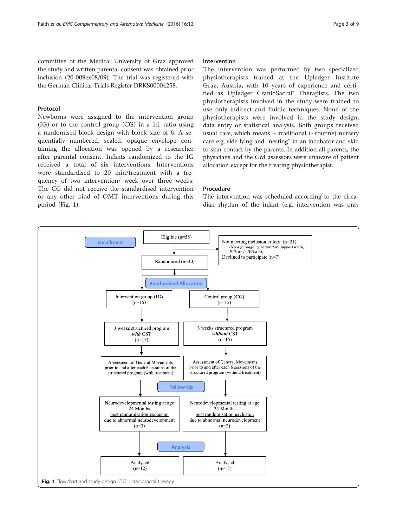<span id="page-2-0"></span>committee of the Medical University of Graz approved the study and written parental consent was obtained prior inclusion (20-009ex08/09). The trial was registered with the German Clinical Trials Register DRKS00004258.

# Protocol

Newborns were assigned to the intervention group (IG) or to the control group (CG) in a 1:1 ratio using a randomised block design with block size of 6. A sequentially numbered, sealed, opaque envelope containing the allocation was opened by a researcher after parental consent. Infants randomized to the IG received a total of six interventions. Interventions were standardised to 20 min/treatment with a frequency of two intervention/ week over three weeks. The CG did not receive the standardised intervention or any other kind of OMT interventions during this period (Fig. 1).

#### Intervention

The intervention was performed by two specialized physiotherapists trained at the Upledger Institute Graz, Austria, with 10 years of experience and certified as Upledger CranioSacral® Therapists. The two physiotherapists involved in the study were trained to use only indirect and fluidic techniques. None of the physiotherapists were involved in the study design, data entry or statistical analysis. Both groups received usual care, which means  $-$  traditional ( $\sim$ routine) nursery care e.g. side lying and "nesting" in an incubator and skin to skin contact by the parents. In addition all parents, the physicians and the GM assessors were unaware of patient allocation except for the treating physiotherapist.

#### Procedure

The intervention was scheduled according to the circadian rhythm of the infant (e.g. intervention was only

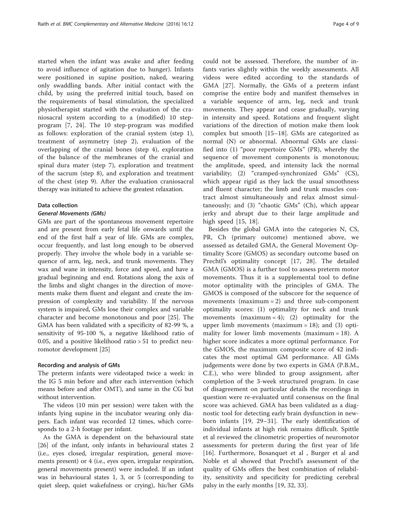started when the infant was awake and after feeding to avoid influence of agitation due to hunger). Infants were positioned in supine position, naked, wearing only swaddling bands. After initial contact with the child, by using the preferred initial touch, based on the requirements of basal stimulation, the specialized physiotherapist started with the evaluation of the craniosacral system according to a (modified) 10 stepprogram [[7,](#page-7-0) [24](#page-8-0)]. The 10 step-program was modified as follows: exploration of the cranial system (step 1), treatment of asymmetry (step 2), evaluation of the overlapping of the cranial bones (step 4), exploration of the balance of the membranes of the cranial and spinal dura mater (step 7), exploration and treatment of the sacrum (step 8), and exploration and treatment of the chest (step 9). After the evaluation craniosacral therapy was initiated to achieve the greatest relaxation.

#### Data collection

#### General Movements (GMs)

GMs are part of the spontaneous movement repertoire and are present from early fetal life onwards until the end of the first half a year of life. GMs are complex, occur frequently, and last long enough to be observed properly. They involve the whole body in a variable sequence of arm, leg, neck, and trunk movements. They wax and wane in intensity, force and speed, and have a gradual beginning and end. Rotations along the axis of the limbs and slight changes in the direction of movements make them fluent and elegant and create the impression of complexity and variability. If the nervous system is impaired, GMs lose their complex and variable character and become monotonous and poor [\[25\]](#page-8-0). The GMA has been validated with a specificity of 82-99 %, a sensitivity of 95-100 %, a negative likelihood ratio of 0.05, and a positive likelihood ratio > 51 to predict neuromotor development [\[25](#page-8-0)]

#### Recording and analysis of GMs

The preterm infants were videotaped twice a week: in the IG 5 min before and after each intervention (which means before and after OMT), and same in the CG but without intervention.

The videos (10 min per session) were taken with the infants lying supine in the incubator wearing only diapers. Each infant was recorded 12 times, which corresponds to a 2-h footage per infant.

As the GMA is dependent on the behavioural state [[26\]](#page-8-0) of the infant, only infants in behavioural states 2 (i.e., eyes closed, irregular respiration, general movements present) or 4 (i.e., eyes open, irregular respiration, general movements present) were included. If an infant was in behavioural states 1, 3, or 5 (corresponding to quiet sleep, quiet wakefulness or crying), his/her GMs could not be assessed. Therefore, the number of infants varies slightly within the weekly assessments. All videos were edited according to the standards of GMA [[27\]](#page-8-0). Normally, the GMs of a preterm infant comprise the entire body and manifest themselves in a variable sequence of arm, leg, neck and trunk movements. They appear and cease gradually, varying in intensity and speed. Rotations and frequent slight variations of the direction of motion make them look complex but smooth [\[15](#page-7-0)–[18](#page-8-0)]. GMs are categorized as normal (N) or abnormal. Abnormal GMs are classified into (1) "poor repertoire GMs" (PR), whereby the sequence of movement components is monotonous; the amplitude, speed, and intensity lack the normal variability; (2) "cramped-synchronized GMs" (CS), which appear rigid as they lack the usual smoothness and fluent character; the limb and trunk muscles contract almost simultaneously and relax almost simultaneously; and (3) "chaotic GMs" (Ch), which appear jerky and abrupt due to their large amplitude and high speed [[15,](#page-7-0) [18\]](#page-8-0).

Besides the global GMA into the categories N, CS, PR, Ch (primary outcome) mentioned above, we assessed as detailed GMA, the General Movement Optimality Score (GMOS) as secondary outcome based on Prechtl's optimality concept [[17,](#page-7-0) [28](#page-8-0)]. The detailed GMA (GMOS) is a further tool to assess preterm motor movements. Thus it is a supplemental tool to define motor optimality with the principles of GMA. The GMOS is composed of the subscore for the sequence of movements (maximum = 2) and three sub-component optimality scores: (1) optimality for neck and trunk movements (maximum = 4); (2) optimality for the upper limb movements (maximum  $= 18$ ); and (3) optimality for lower limb movements (maximum = 18). A higher score indicates a more optimal performance. For the GMOS, the maximum composite score of 42 indicates the most optimal GM performance. All GMs judgements were done by two experts in GMA (P.B.M., C.E.), who were blinded to group assignment, after completion of the 3-week structured program. In case of disagreement on particular details the recordings in question were re-evaluated until consensus on the final score was achieved. GMA has been validated as a diagnostic tool for detecting early brain dysfunction in newborn infants [\[19](#page-8-0), [29](#page-8-0)–[31](#page-8-0)]. The early identification of individual infants at high risk remains difficult. Spittle et al reviewed the clinometric properties of neuromotor assessments for preterm during the first year of life [[16\]](#page-7-0). Furthermore, Bosanquet et al , Burger et al and Noble et al showed that Prechtl's assessment of the quality of GMs offers the best combination of reliability, sensitivity and specificity for predicting cerebral palsy in the early months [\[19](#page-8-0), [32](#page-8-0), [33\]](#page-8-0).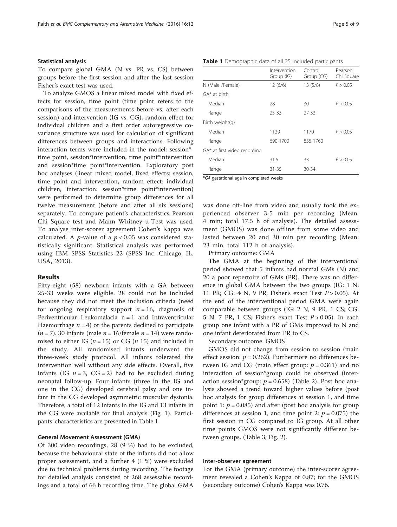#### Statistical analysis

To compare global GMA (N vs. PR vs. CS) between groups before the first session and after the last session Fisher's exact test was used.

To analyze GMOS a linear mixed model with fixed effects for session, time point (time point refers to the comparisons of the measurements before vs. after each session) and intervention (IG vs. CG), random effect for individual children and a first order autoregressive covariance structure was used for calculation of significant differences between groups and interactions. Following interaction terms were included in the model: session\* time point, session\*intervention, time point\*intervention and session\*time point\*intervention. Exploratory post hoc analyses (linear mixed model, fixed effects: session, time point and intervention, random effect: individual children, interaction: session\*time point\*intervention) were performed to determine group differences for all twelve measurement (before and after all six sessions) separately. To compare patient's characteristics Pearson Chi Square test and Mann Whitney u-Test was used. To analyse inter-scorer agreement Cohen's Kappa was calculated. A *p*-value of a  $p < 0.05$  was considered statistically significant. Statistical analysis was performed using IBM SPSS Statistics 22 (SPSS Inc. Chicago, IL, USA, 2013).

#### Results

Fifty-eight (58) newborn infants with a GA between 25-33 weeks were eligible. 28 could not be included because they did not meet the inclusion criteria (need for ongoing respiratory support  $n = 16$ , diagnosis of Periventricular Leukomalacia n = 1 and Intraventricular Haemorrhage  $n = 4$ ) or the parents declined to participate  $(n = 7)$ . 30 infants (male  $n = 16$ /female  $n = 14$ ) were randomised to either IG ( $n = 15$ ) or CG ( $n$  15) and included in the study. All randomised infants underwent the three-week study protocol. All infants tolerated the intervention well without any side effects. Overall, five infants (IG  $n = 3$ , CG = 2) had to be excluded during neonatal follow-up. Four infants (three in the IG and one in the CG) developed cerebral palsy and one infant in the CG developed asymmetric muscular dystonia. Therefore, a total of 12 infants in the IG and 13 infants in the CG were available for final analysis (Fig. [1\)](#page-2-0). Participants' characteristics are presented in Table 1.

#### General Movement Assessment (GMA)

Of 300 video recordings, 28 (9 %) had to be excluded, because the behavioural state of the infants did not allow proper assessment, and a further 4 (1 %) were excluded due to technical problems during recording. The footage for detailed analysis consisted of 268 assessable recordings and a total of 66 h recording time. The global GMA

Table 1 Demographic data of all 25 included participants

Intervention

Control

|                              | Group (IG) | Group (CG) | Chi Square |
|------------------------------|------------|------------|------------|
| N (Male /Female)             | 12(6/6)    | 13(5/8)    | P > 0.05   |
| GA* at birth                 |            |            |            |
| Median                       | 28         | 30         | P > 0.05   |
| Range                        | $25 - 33$  | 27-33      |            |
| Birth weight(g)              |            |            |            |
| Median                       | 1129       | 1170       | P > 0.05   |
| Range                        | 690-1700   | 855-1760   |            |
| GA* at first video recording |            |            |            |
| Median                       | 31.5       | 33         | P > 0.05   |
| Range                        | $31 - 35$  | 30-34      |            |

\*GA gestational age in completed weeks

was done off-line from video and usually took the experienced observer 3-5 min per recording (Mean: 4 min; total 17.5 h of analysis). The detailed assessment (GMOS) was done offline from some video and lasted between 20 and 30 min per recording (Mean: 23 min; total 112 h of analysis).

Primary outcome: GMA

The GMA at the beginning of the interventional period showed that 5 infants had normal GMs (N) and 20 a poor repertoire of GMs (PR). There was no difference in global GMA between the two groups (IG: 1 N, 11 PR; CG: 4 N, 9 PR; Fisher's exact Test  $P > 0.05$ ). At the end of the interventional period GMA were again comparable between groups (IG: 2 N, 9 PR, 1 CS; CG: 5 N, 7 PR, 1 CS; Fisher's exact Test  $P > 0.05$ ). In each group one infant with a PR of GMs improved to N and one infant deteriorated from PR to CS.

Secondary outcome: GMOS

GMOS did not change from session to session (main effect session:  $p = 0.262$ ). Furthermore no differences between IG and CG (main effect group:  $p = 0.361$ ) and no interaction of session\*group could be observed (interaction session\*group:  $p = 0.658$ ) (Table [2](#page-5-0)). Post hoc analysis showed a trend toward higher values before (post hoc analysis for group differences at session 1, and time point 1:  $p = 0.085$ ) and after (post hoc analysis for group differences at session 1, and time point 2:  $p = 0.075$ ) the first session in CG compared to IG group. At all other time points GMOS were not significantly different between groups. (Table [3](#page-5-0), Fig. [2](#page-6-0)).

#### Inter-observer agreement

For the GMA (primary outcome) the inter-scorer agreement revealed a Cohen's Kappa of 0.87; for the GMOS (secondary outcome) Cohen's Kappa was 0.76.

Pearson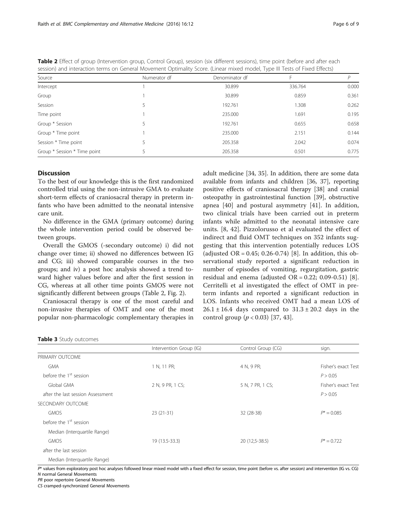| bessionly and interaction terms on deneral movement optimality beore. (Einear mixed model, Type in Tests or Hxed Enects) |              |                |         |       |  |  |
|--------------------------------------------------------------------------------------------------------------------------|--------------|----------------|---------|-------|--|--|
| Source                                                                                                                   | Numerator df | Denominator df |         |       |  |  |
| Intercept                                                                                                                |              | 30.899         | 336.764 | 0.000 |  |  |
| Group                                                                                                                    |              | 30.899         | 0.859   | 0.361 |  |  |
| Session                                                                                                                  | 5            | 192.761        | 1.308   | 0.262 |  |  |
| Time point                                                                                                               |              | 235,000        | 1.691   | 0.195 |  |  |
| Group * Session                                                                                                          | 5            | 192.761        | 0.655   | 0.658 |  |  |
| Group * Time point                                                                                                       |              | 235,000        | 2.151   | 0.144 |  |  |
| Session * Time point                                                                                                     |              | 205.358        | 2.042   | 0.074 |  |  |
| Group * Session * Time point                                                                                             |              | 205.358        | 0.501   | 0.775 |  |  |

<span id="page-5-0"></span>Table 2 Effect of group (Intervention group, Control Group), session (six different sessions), time point (before and after each session) and interaction terms on General Movement Optimality Score. (Linear mixed model, Type III Tests of Fixed Effects)

#### Discussion

To the best of our knowledge this is the first randomized controlled trial using the non-intrusive GMA to evaluate short-term effects of craniosacral therapy in preterm infants who have been admitted to the neonatal intensive care unit.

No difference in the GMA (primary outcome) during the whole intervention period could be observed between groups.

Overall the GMOS (-secondary outcome) i) did not change over time; ii) showed no differences between IG and CG; iii) showed comparable courses in the two groups; and iv) a post hoc analysis showed a trend toward higher values before and after the first session in CG, whereas at all other time points GMOS were not significantly different between groups (Table 2, Fig. [2\)](#page-6-0).

Craniosacral therapy is one of the most careful and non-invasive therapies of OMT and one of the most popular non-pharmacologic complementary therapies in adult medicine [\[34, 35](#page-8-0)]. In addition, there are some data available from infants and children [[36](#page-8-0), [37](#page-8-0)], reporting positive effects of craniosacral therapy [\[38](#page-8-0)] and cranial osteopathy in gastrointestinal function [[39\]](#page-8-0), obstructive apnea [\[40](#page-8-0)] and postural asymmetry [[41\]](#page-8-0). In addition, two clinical trials have been carried out in preterm infants while admitted to the neonatal intensive care units. [[8,](#page-7-0) [42\]](#page-8-0). Pizzolorusso et al evaluated the effect of indirect and fluid OMT techniques on 352 infants suggesting that this intervention potentially reduces LOS (adjusted OR =  $0.45$ ; 0.26-0.74) [\[8](#page-7-0)]. In addition, this observational study reported a significant reduction in number of episodes of vomiting, regurgitation, gastric residual and enema (adjusted  $OR = 0.22$ ; 0.09-0.51) [[8](#page-7-0)]. Cerritelli et al investigated the effect of OMT in preterm infants and reported a significant reduction in LOS. Infants who received OMT had a mean LOS of  $26.1 \pm 16.4$  days compared to  $31.3 \pm 20.2$  days in the control group ( $p < 0.03$ ) [[37, 43\]](#page-8-0).

#### Table 3 Study outcomes

|                                    | Intervention Group (IG) | Control Group (CG) | sign.               |
|------------------------------------|-------------------------|--------------------|---------------------|
| PRIMARY OUTCOME                    |                         |                    |                     |
| <b>GMA</b>                         | 1 N, 11 PR;             | 4 N, 9 PR;         | Fisher's exact Test |
| before the 1 <sup>st</sup> session |                         |                    | P > 0.05            |
| Global GMA                         | 2 N, 9 PR, 1 CS;        | 5 N, 7 PR, 1 CS;   | Fisher's exact Test |
| after the last session Assessment  |                         |                    | P > 0.05            |
| SECONDARY OUTCOME                  |                         |                    |                     |
| <b>GMOS</b>                        | $23(21-31)$             | 32 (28-38)         | $P^* = 0.085$       |
| before the 1 <sup>st</sup> session |                         |                    |                     |
| Median (Interquartile Range)       |                         |                    |                     |
| <b>GMOS</b>                        | 19 (13.5-33.3)          | 20 (12,5-38.5)     | $P^* = 0.722$       |
| after the last session             |                         |                    |                     |
| Median (Interguartile Range)       |                         |                    |                     |

P\* values from exploratory post hoc analyses followed linear mixed model with a fixed effect for session, time point (before vs. after session) and intervention (IG vs. CG) N normal General Movements

PR poor repertoire General Movements

CS cramped-synchronized General Movements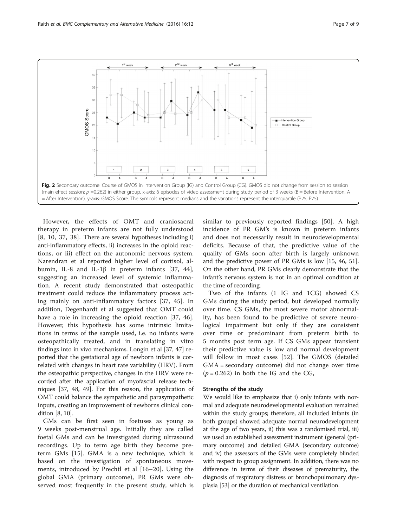<span id="page-6-0"></span>

However, the effects of OMT and craniosacral therapy in preterm infants are not fully understood [[8](#page-7-0), [10,](#page-7-0) [37, 38\]](#page-8-0). There are several hypotheses including i) anti-inflammatory effects, ii) increases in the opioid reactions, or iii) effect on the autonomic nervous system. Narendran et al reported higher level of cortisol, albumin, IL-8 and IL-1β in preterm infants [[37, 44](#page-8-0)], suggesting an increased level of systemic inflammation. A recent study demonstrated that osteopathic treatment could reduce the inflammatory process acting mainly on anti-inflammatory factors [[37, 45\]](#page-8-0). In addition, Degenhardt et al suggested that OMT could have a role in increasing the opioid reaction [\[37](#page-8-0), [46](#page-8-0)]. However, this hypothesis has some intrinsic limitations in terms of the sample used, i.e. no infants were osteopathically treated, and in translating in vitro findings into in vivo mechanisms. Longin et al [[37](#page-8-0), [47](#page-8-0)] reported that the gestational age of newborn infants is correlated with changes in heart rate variability (HRV). From the osteopathic perspective, changes in the HRV were recorded after the application of myofascial release techniques [\[37, 48](#page-8-0), [49](#page-8-0)]. For this reason, the application of OMT could balance the sympathetic and parasympathetic inputs, creating an improvement of newborns clinical condition [[8, 10](#page-7-0)].

GMs can be first seen in foetuses as young as 9 weeks post-menstrual age. Initially they are called foetal GMs and can be investigated during ultrasound recordings. Up to term age birth they become preterm GMs [[15\]](#page-7-0). GMA is a new technique, which is based on the investigation of spontaneous movements, introduced by Prechtl et al [\[16](#page-7-0)–[20](#page-8-0)]. Using the global GMA (primary outcome), PR GMs were observed most frequently in the present study, which is

similar to previously reported findings [[50\]](#page-8-0). A high incidence of PR GM's is known in preterm infants and does not necessarily result in neurodevelopmental deficits. Because of that, the predictive value of the quality of GMs soon after birth is largely unknown and the predictive power of PR GMs is low [[15](#page-7-0), [46, 51](#page-8-0)]. On the other hand, PR GMs clearly demonstrate that the infant's nervous system is not in an optimal condition at the time of recording.

Two of the infants (1 IG and 1CG) showed CS GMs during the study period, but developed normally over time. CS GMs, the most severe motor abnormality, has been found to be predictive of severe neurological impairment but only if they are consistent over time or predominant from preterm birth to 5 months post term age. If CS GMs appear transient their predictive value is low and normal development will follow in most cases [\[52](#page-8-0)]. The GMOS (detailed GMA = secondary outcome) did not change over time  $(p = 0.262)$  in both the IG and the CG,

#### Strengths of the study

We would like to emphasize that i) only infants with normal and adequate neurodevelopmental evaluation remained within the study groups; therefore, all included infants (in both groups) showed adequate normal neurodevelopment at the age of two years, ii) this was a randomised trial, iii) we used an established assessment instrument (general (primary outcome) and detailed GMA (secondary outcome) and iv) the assessors of the GMs were completely blinded with respect to group assignment. In addition, there was no difference in terms of their diseases of prematurity, the diagnosis of respiratory distress or bronchopulmonary dysplasia [\[53\]](#page-8-0) or the duration of mechanical ventilation.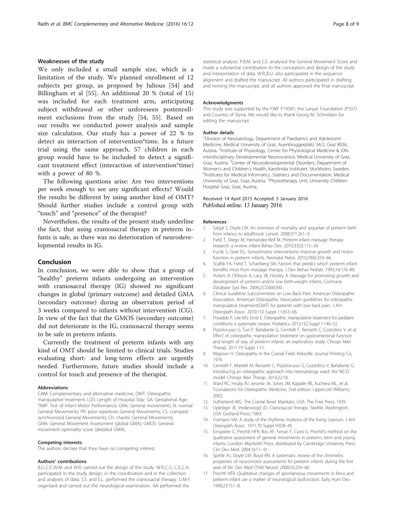#### <span id="page-7-0"></span>Weaknesses of the study

We only included a small sample size, which is a limitation of the study. We planned enrollment of 12 subjects per group, as proposed by Julious [[54\]](#page-8-0) and Billingham et al [[55](#page-8-0)]. An additional 20 % (total of 15) was included for each treatment arm, anticipating subject withdrawal or other unforeseen postenrollment exclusions from the study [[54, 55](#page-8-0)]. Based on our results we conducted power analysis and sample size calculation. Our study has a power of 22 % to detect an interaction of intervention\*time. In a future trial using the same approach, 57 children in each group would have to be included to detect a significant treatment effect (interaction of intervention\*time) with a power of 80 %.

The following questions arise: Are two interventions per week enough to see any significant effects? Would the results be different by using another kind of OMT? Should further studies include a control group with "touch" and "presence" of the therapist?

Nevertheless, the results of the present study underline the fact, that using craniosacral therapy in preterm infants is safe, as there was no deterioration of neurodevelopmental results in IG.

## Conclusion

In conclusion, we were able to show that a group of "healthy" preterm infants undergoing an intervention with craniosacral therapy (IG) showed no significant changes in global (primary outcome) and detailed GMA (secondary outcome) during an observation period of 3 weeks compared to infants without intervention (CG). In view of the fact that the GMOS (secondary outcome) did not deteriorate in the IG, craniosacral therapy seems to be safe in preterm infants.

Currently the treatment of preterm infants with any kind of OMT should be limited to clinical trials. Studies evaluating short- and long-term effects are urgently needed. Furthermore, future studies should include a control for touch and presence of the therapist.

#### Abbreviations

CAM: Complementary and alternative medicine; OMT: Osteopathic manipulative treatment; LOS: Length of Hospital Stay; GA: Gestational Age; TIMP: Test of Infant Motor Performance; GMs: General movements; N: normal General Movements; PR: poor repertoire General Movements; CS: crampedsynchronized General Movements; Ch: chaotic General Movements; GMA: General Movement Assessment (global GMA); GMOS: General movement optimality score (detailed GMA).

#### Competing interests

The authors declare that they have no competing interest.

#### Authors' contributions

B.U.,C.E.,W.M. and W.R. carried out the design of the study. W.R.,C.S.; C.E.,C.A. participated in the study design, in the coordination and in the collection and analyses of data. S.S. and E.L. performed the craniosacral therapy. U.M-F. organised and carried out the neurological examination. AA performed the

statistical analysis. P.B.M. and C.E. analysed the General Movement Score and made a substantial contribution to the conception and design of the study and interpretation of data. W.R.,B.U. also participated in the sequence alignment and drafted the manuscript. All authors participated in drafting and revising the manuscript, and all authors approved the final manuscript.

#### Acknowledgments

This study was supported by the FWF P19581; the Lanyar Foundation (P337) and Country of Styria. We would like to thank Georg M. Schmölzer for editing the manuscript.

#### Author details

<sup>1</sup> Division of Neonatology, Department of Paediatrics and Adolescent Medicine, Medical University of Graz, Auenbruggerplatz 34/2, Graz 8036, Austria. <sup>2</sup>Institute of Physiology, Center for Physiological Medicine & iDNinterdisciplinary Developmental Neuroscience, Medical University of Graz, Graz, Austria. <sup>3</sup>Center of Neurodevelopmental Disorders, Department of Women's and Children's Health, Karolinska Institutet, Stockholm, Sweden. <sup>4</sup> <sup>4</sup>Institutes for Medical Informatics, Statistics and Documentation, Medical University of Graz, Graz, Austria. <sup>5</sup>Physiotherapy Unit, University Children Hospital Graz, Graz, Austria.

#### Received: 14 April 2015 Accepted: 5 January 2016 Published online: 13 January 2016

#### References

- 1. Saigal S, Doyle LW. An overview of mortality and sequelae of preterm birth from infancy to adulthood. Lancet. 2008;371:261–9.
- 2. Field T, Diego M, Hernandez-Reif M. Preterm infant massage therapy research: a review. Infant Behav Dev. 2010;33(2):115–24.
- 3. Fucile S, Gisel EG. Sensorimotor interventions improve growth and motor function in preterm infants. Neonatal Netw. 2010;29(6):359–66.
- 4. Scafidi FA, Field T, Schanberg SM. Factors that predict which preterm infant benefits most from massage therapy. J Dev Behav Pediatr. 1993;14:176–80.
- 5. Vickers A, Ohlsson A, Lacy JB, Horsley A. Massage for promoting growth and development of preterm and/or low birth-weight infants. Cochrane Database Syst Rev. 2004;2:CD000390.
- 6. Clinical Guideline Subcommittee on Low Back Pain; American Osteopathic Association. American Osteopathic Association guidelines for osteopathic manipulative treatment(OMT) for patients with low back pain. J Am Osteopath Assoc. 2010;110 Suppl 11:653–66.
- 7. Posadzki P, Lee MS, Ernst E. Osteopathic manipulative treatment for pediatric conditions: a systematic review. Pediatrics. 2013;132 Suppl 1:140–52.
- 8. Pizzolorusso G, Turi P, Barlafante G, Cerritelli F, Renzetti C, Cozzolino V, et al. Effect of osteopathic manipulative treatment on gastrointestinal function and length of stay of preterm infants: an exploratory study. Chiropr Man Therap. 2011;19 Suppl 1:15.
- 9. Magoun H. Osteopathy in the Cranial Field. Kirksville: Journal Printing Co; 1976.
- 10. Cerritelli F, Martelli M, Renzetti C, Pizzolorusso G, Cozzolino V, Barlafante G. Introducing an osteopathic approach into neonatology ward: the NE-O model. Chiropr Man Therap. 2014;22:18.
- 11. Ward RC, Hruby RJ, Jerome JA, Jones JM, Kappler RE, Kuchera ML, et al. Foundations for Osteopathic Medicine, 2nd edition. Lippincott Williams; 2002.
- 12. Sutherland WG. The Cranial Bowl. Mankato, USA: The Free Press; 1939.
- 13. Upledger JE, Vredevoogd JD. Craniosacral therapy. Seattle, Washington, USA: Eastland Press; 1983.
- 14. Frymann VM. A study of the rhythmic motions of the living cranium. J Am Osteopath Assoc. 1971;70 Suppl 9:928–45.
- 15. Einspieler C, Prechtl HFR, Bos AF, Ferrari F, Cioni G. Prechtl's method on the qualitative assessment of general movements in preterm, term and young infants. London: MacKeith Press, distributed by Cambridge University Press. Clin Dev Med. 2004;167:1–91.
- 16. Spittle AJ, Doyle LW, Boyd RN. A systematic review of the clinimetric properties of neuromotor assessments for preterm infants during the first year of life. Dev Med Child Neurol. 2008;50:254–66.
- 17. Prechtl HFR. Qualitative changes of spontaneous movements in fetus and preterm infant are a marker of neurological dysfunction. Early Hum Dev. 1990;23:151–8.